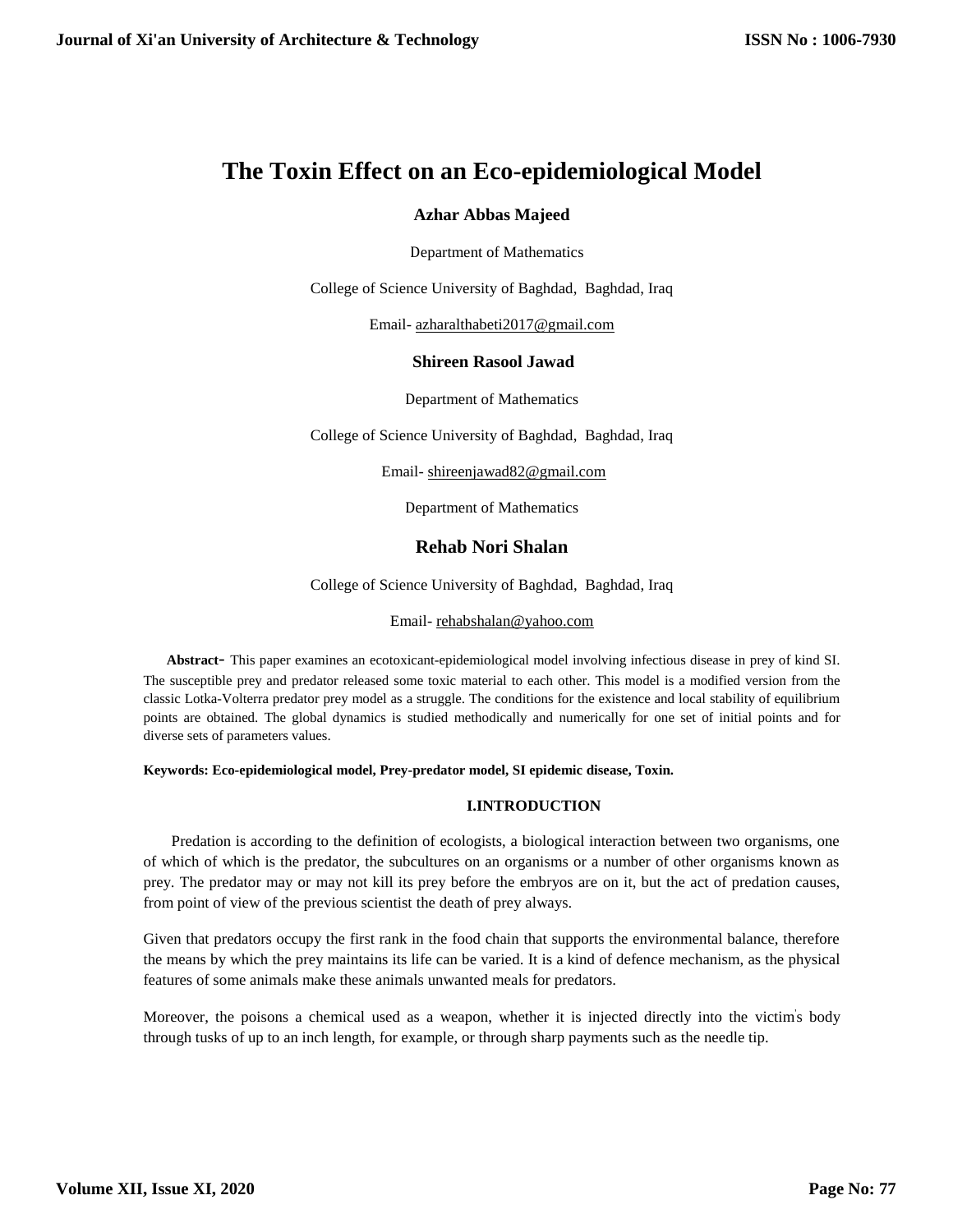# **The Toxin Effect on an Eco-epidemiological Model**

# **Azhar Abbas Majeed**

Department of Mathematics

College of Science University of Baghdad, Baghdad, Iraq

Email- [azharalthabeti2017@gmail.com](mailto:azharalthabeti2017@gmail.com)

### **Shireen Rasool Jawad**

Department of Mathematics

College of Science University of Baghdad, Baghdad, Iraq

Email- [shireenjawad82@gmail.com](mailto:shireenjawad82@gmail.com)

Department of Mathematics

# **Rehab Nori Shalan**

College of Science University of Baghdad, Baghdad, Iraq

### Email- [rehabshalan@yahoo.com](mailto:rehabshalan@yahoo.com)

 **Abstract**- This paper examines an ecotoxicant-epidemiological model involving infectious disease in prey of kind SI. The susceptible prey and predator released some toxic material to each other. This model is a modified version from the classic Lotka-Volterra predator prey model as a struggle. The conditions for the existence and local stability of equilibrium points are obtained. The global dynamics is studied methodically and numerically for one set of initial points and for diverse sets of parameters values.

### **Keywords: Eco-epidemiological model, Prey-predator model, SI epidemic disease, Toxin.**

# **I.INTRODUCTION**

 Predation is according to the definition of ecologists, a biological interaction between two organisms, one of which of which is the predator, the subcultures on an organisms or a number of other organisms known as prey. The predator may or may not kill its prey before the embryos are on it, but the act of predation causes, from point of view of the previous scientist the death of prey always.

Given that predators occupy the first rank in the food chain that supports the environmental balance, therefore the means by which the prey maintains its life can be varied. It is a kind of defence mechanism, as the physical features of some animals make these animals unwanted meals for predators.

Moreover, the poisons a chemical used as a weapon, whether it is injected directly into the victim' s body through tusks of up to an inch length, for example, or through sharp payments such as the needle tip.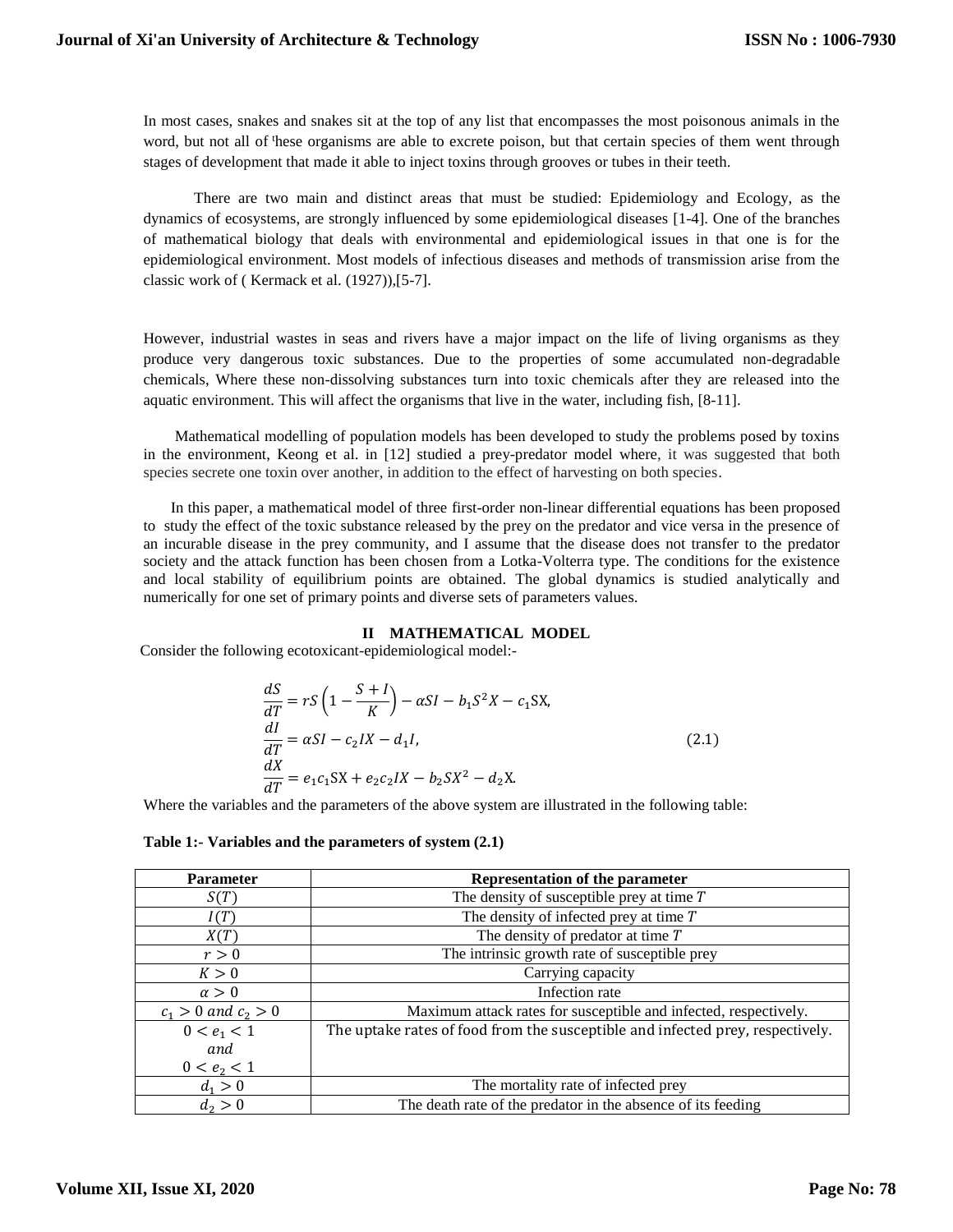In most cases, snakes and snakes sit at the top of any list that encompasses the most poisonous animals in the word, but not all of these organisms are able to excrete poison, but that certain species of them went through stages of development that made it able to inject toxins through grooves or tubes in their teeth.

 There are two main and distinct areas that must be studied: Epidemiology and Ecology, as the dynamics of ecosystems, are strongly influenced by some epidemiological diseases [1-4]. One of the branches of mathematical biology that deals with environmental and epidemiological issues in that one is for the epidemiological environment. Most models of infectious diseases and methods of transmission arise from the classic work of ( Kermack et al. (1927)),[5-7].

However, industrial wastes in seas and rivers have a major impact on the life of living organisms as they produce very dangerous toxic substances. Due to the properties of some accumulated non-degradable chemicals, Where these non-dissolving substances turn into toxic chemicals after they are released into the aquatic environment. This will affect the organisms that live in the water, including fish, [8-11].

 Mathematical modelling of population models has been developed to study the problems posed by toxins in the environment, Keong et al. in [12] studied a prey-predator model where, it was suggested that both species secrete one toxin over another, in addition to the effect of harvesting on both species.

 In this paper, a mathematical model of three first-order non-linear differential equations has been proposed to study the effect of the toxic substance released by the prey on the predator and vice versa in the presence of an incurable disease in the prey community, and I assume that the disease does not transfer to the predator society and the attack function has been chosen from a Lotka-Volterra type. The conditions for the existence and local stability of equilibrium points are obtained. The global dynamics is studied analytically and numerically for one set of primary points and diverse sets of parameters values.

### **II MATHEMATICAL MODEL**

Consider the following ecotoxicant-epidemiological model:-

$$
\frac{dS}{dT} = rS\left(1 - \frac{S+I}{K}\right) - \alpha SI - b_1 S^2 X - c_1 SX,
$$
\n
$$
\frac{dI}{dT} = \alpha SI - c_2 IX - d_1 I,
$$
\n
$$
\frac{dX}{dT} = e_1 c_1 SX + e_2 c_2 IX - b_2 SX^2 - d_2 X.
$$
\n(2.1)

Where the variables and the parameters of the above system are illustrated in the following table:

#### **Table 1:- Variables and the parameters of system (2.1)**

| <b>Parameter</b>        | Representation of the parameter                                                |
|-------------------------|--------------------------------------------------------------------------------|
| S(T)                    | The density of susceptible prey at time $T$                                    |
| I(T)                    | The density of infected prey at time $T$                                       |
| X(T)                    | The density of predator at time $T$                                            |
| r > 0                   | The intrinsic growth rate of susceptible prey                                  |
| K>0                     | Carrying capacity                                                              |
| $\alpha > 0$            | Infection rate                                                                 |
| $c_1 > 0$ and $c_2 > 0$ | Maximum attack rates for susceptible and infected, respectively.               |
| $0 < e_1 < 1$           | The uptake rates of food from the susceptible and infected prey, respectively. |
| and                     |                                                                                |
| $0 < e_2 < 1$           |                                                                                |
| $d_1 > 0$               | The mortality rate of infected prey                                            |
| $d_2 > 0$               | The death rate of the predator in the absence of its feeding                   |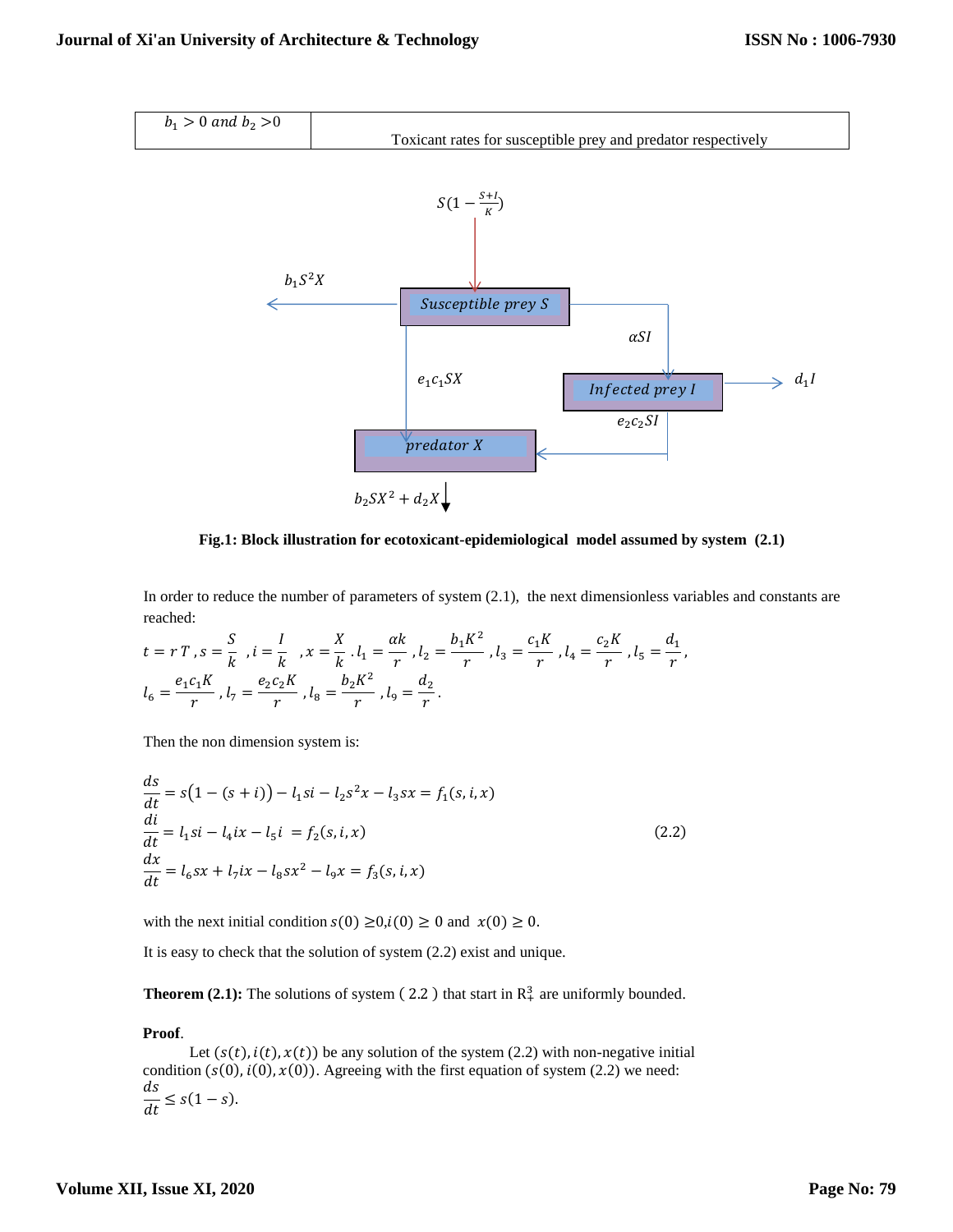

**Fig.1: Block illustration for ecotoxicant-epidemiological model assumed by system (2.1)**

In order to reduce the number of parameters of system (2.1), the next dimensionless variables and constants are reached:

$$
t = r T, s = \frac{S}{k}, i = \frac{I}{k}, x = \frac{X}{k}.l_1 = \frac{\alpha k}{r}, l_2 = \frac{b_1 K^2}{r}, l_3 = \frac{c_1 K}{r}, l_4 = \frac{c_2 K}{r}, l_5 = \frac{d_1}{r},
$$
  

$$
l_6 = \frac{e_1 c_1 K}{r}, l_7 = \frac{e_2 c_2 K}{r}, l_8 = \frac{b_2 K^2}{r}, l_9 = \frac{d_2}{r}.
$$

Then the non dimension system is:

$$
\frac{ds}{dt} = s(1 - (s + i)) - l_1si - l_2s^2x - l_3sx = f_1(s, i, x)
$$
  
\n
$$
\frac{di}{dt} = l_1si - l_4ix - l_5i = f_2(s, i, x)
$$
  
\n
$$
\frac{dx}{dt} = l_6sx + l_7ix - l_8sx^2 - l_9x = f_3(s, i, x)
$$
\n(2.2)

with the next initial condition  $s(0) \ge 0$ ,  $i(0) \ge 0$  and  $x(0) \ge 0$ .

It is easy to check that the solution of system (2.2) exist and unique.

**Theorem (2.1):** The solutions of system (2.2) that start in  $\mathbb{R}^3$  are uniformly bounded.

### **Proof**.

Let  $(s(t), i(t), x(t))$  be any solution of the system (2.2) with non-negative initial condition  $(s(0), i(0), x(0))$ . Agreeing with the first equation of system (2.2) we need:  $\frac{ds}{dt} \leq s(1-s).$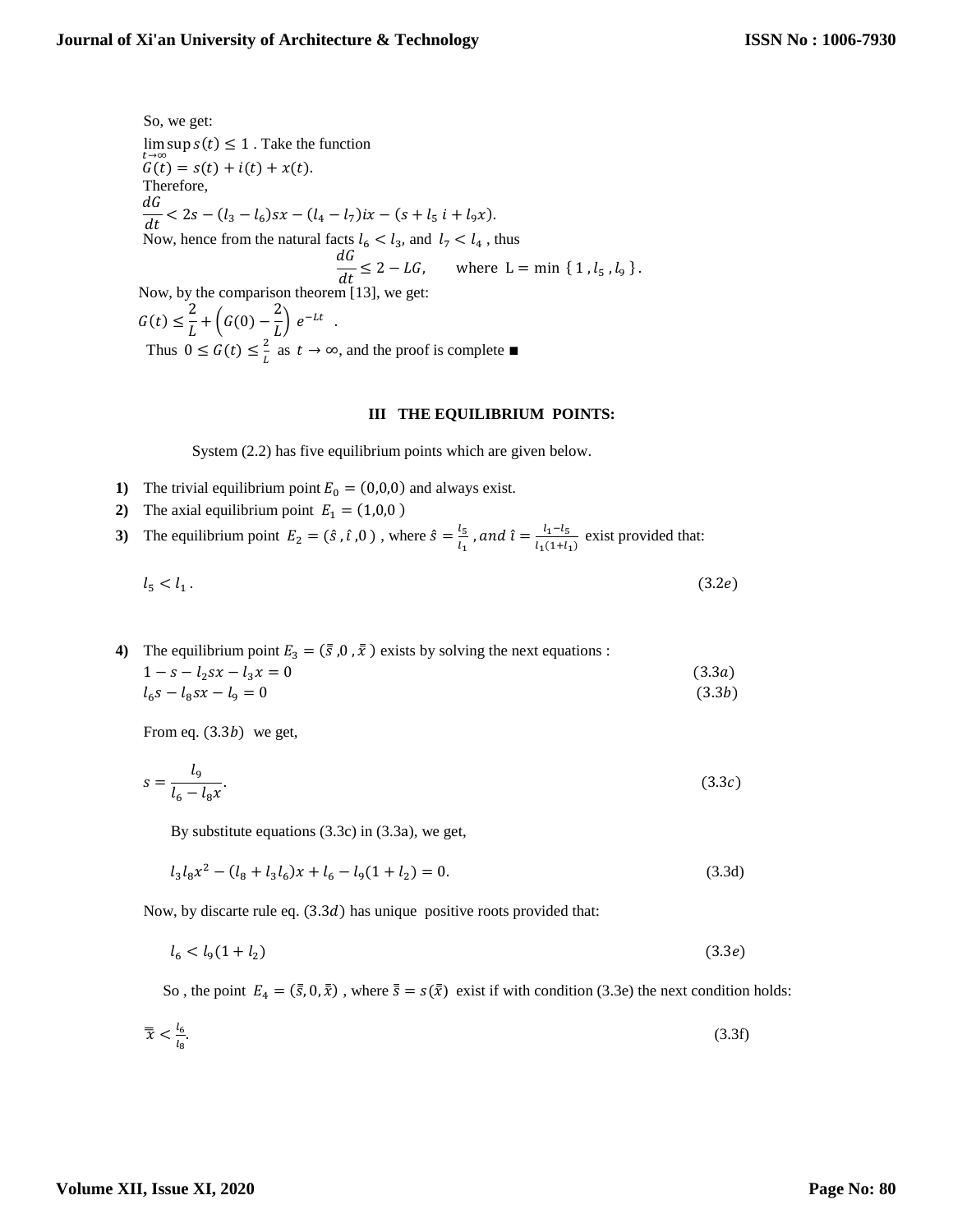So, we get:  $\lim_{t\to\infty} \sup s(t) \leq 1$ . Take the function  $G(t) = s(t) + i(t) + x(t).$ Therefore,  $dG$  $\frac{dS}{dt}$  < 2s –  $(l_3 - l_6)sx - (l_4 - l_7)ix - (s + l_5 i + l_9x).$ Now, hence from the natural facts  $l_6 < l_3$ , and  $l_7 < l_4$ , thus  $\frac{dG}{dt} \leq 2 - LG$ , where  $L = \min \{ 1, l_5, l_9 \}$ . Now, by the comparison theorem [13], we get:  $G(t) \leq \frac{2}{t}$  $\frac{2}{L} + \left( G(0) - \frac{2}{L} \right)$  $\frac{2}{L}$ )  $e^{-Lt}$ . Thus  $0 \leq G(t) \leq \frac{2}{t}$  $\frac{2}{L}$  as  $t \to \infty$ , and the proof is complete ■

#### **III THE EQUILIBRIUM POINTS:**

System (2.2) has five equilibrium points which are given below.

- **1)** The trivial equilibrium point  $E_0 = (0,0,0)$  and always exist.
- **2**) The axial equilibrium point  $E_1 = (1,0,0)$
- **3**) The equilibrium point  $E_2 = (\hat{s}, \hat{i}, 0)$ , where  $\hat{s} = \frac{l_5}{l_1}$  $\frac{l_5}{l_1}$  , and  $\hat{\iota} = \frac{l_1 - l_5}{l_1(1 + l_5)}$  $\frac{t_1 - t_5}{t_1(1+t_1)}$  exist provided that:

$$
l_5 < l_1 \tag{3.2e}
$$

**4)** The equilibrium point  $E_3 = (\bar{s}, 0, \bar{x})$  exists by solving the next equations :  $1 - s - l_2sx - l_3x = 0$  (3.3a)

$$
l_6s - l_8sx - l_9 = 0 \tag{3.3b}
$$

From eq.  $(3.3b)$  we get,

$$
s = \frac{l_9}{l_6 - l_8 x}.\tag{3.3c}
$$

By substitute equations (3.3c) in (3.3a), we get,

$$
l_3 l_8 x^2 - (l_8 + l_3 l_6) x + l_6 - l_9 (1 + l_2) = 0.
$$
\n(3.3d)

Now, by discarte rule eq.  $(3.3d)$  has unique positive roots provided that:

$$
l_6 < l_9(1 + l_2) \tag{3.3e}
$$

So, the point  $E_4 = (\bar{s}, 0, \bar{x})$ , where  $\bar{s} = s(\bar{x})$  exist if with condition (3.3e) the next condition holds:

$$
\overline{\overline{x}} < \frac{l_6}{l_8}.\tag{3.3f}
$$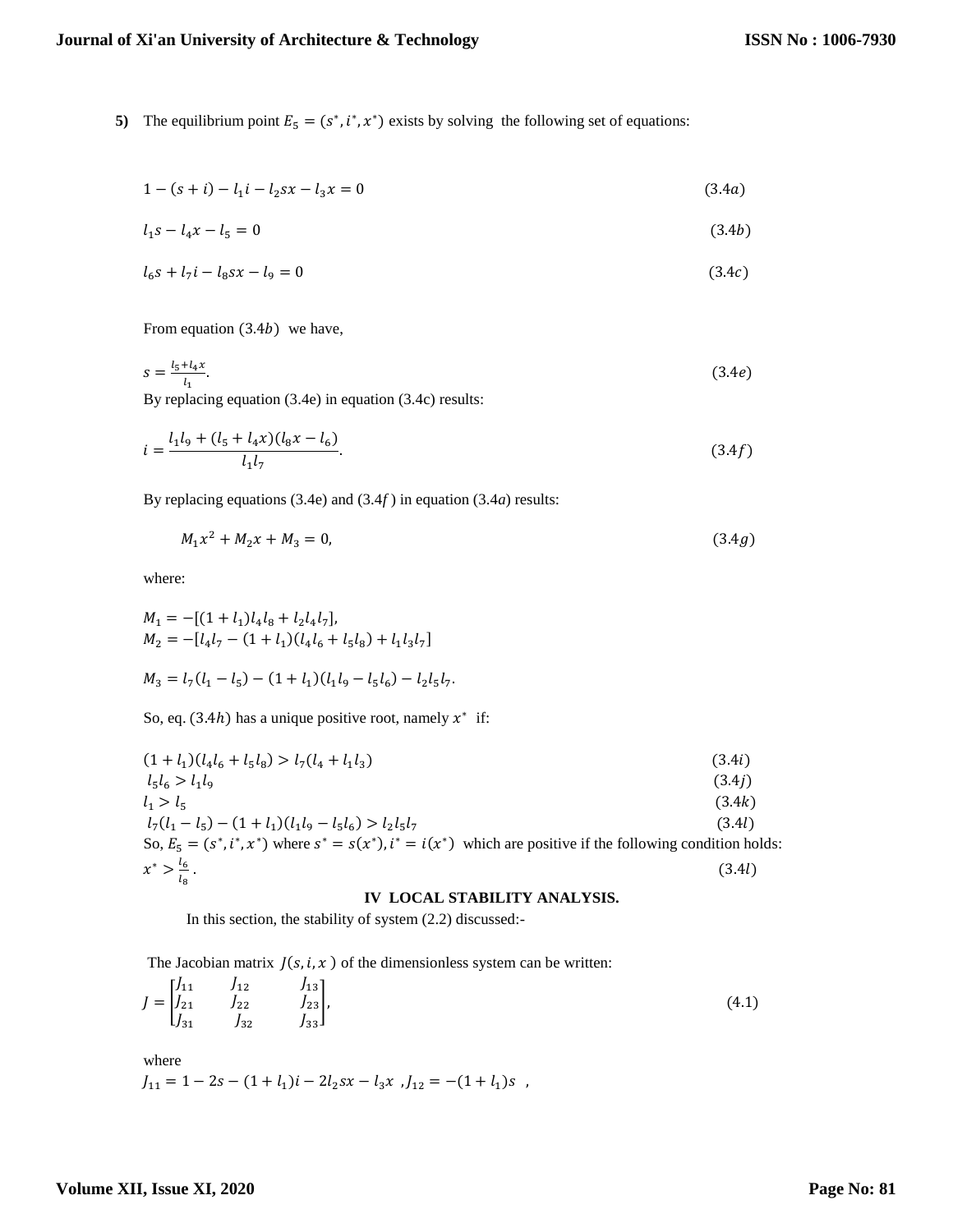**5**) The equilibrium point  $E_5 = (s^*, i^*, x^*)$  exists by solving the following set of equations:

$$
1 - (s + i) - l_1 i - l_2 s x - l_3 x = 0 \tag{3.4a}
$$

$$
l_1 s - l_4 x - l_5 = 0 \tag{3.4b}
$$

$$
l_6s + l_7i - l_8sx - l_9 = 0 \tag{3.4c}
$$

From equation  $(3.4b)$  we have,

$$
s = \frac{l_5 + l_4 x}{l_1}.\tag{3.4e}
$$

By replacing equation (3.4e) in equation (3.4c) results:

$$
i = \frac{l_1 l_9 + (l_5 + l_4 x)(l_8 x - l_6)}{l_1 l_7}.\tag{3.4f}
$$

By replacing equations (3.4e) and (3.4*f* ) in equation (3.4*a*) results:

$$
M_1 x^2 + M_2 x + M_3 = 0,\t\t(3.4g)
$$

where:

$$
M_1 = -[(1 + l_1)l_4l_8 + l_2l_4l_7],
$$
  
\n
$$
M_2 = -[l_4l_7 - (1 + l_1)(l_4l_6 + l_5l_8) + l_1l_3l_7]
$$
  
\n
$$
M_3 = l_7(l_1 - l_5) - (1 + l_1)(l_1l_9 - l_5l_6) - l_2l_5l_7.
$$

So, eq. (3.4h) has a unique positive root, namely  $x^*$  if:

$$
(1 + l_1)(l_4l_6 + l_5l_8) > l_7(l_4 + l_1l_3)
$$
\n
$$
l_5l_6 > l_1l_9
$$
\n
$$
(3.4i)
$$
\n
$$
l_1 > l_5
$$
\n
$$
(3.4j)
$$
\n
$$
l_7(l_1 - l_5) - (1 + l_1)(l_1l_9 - l_5l_6) > l_2l_5l_7
$$
\n
$$
(3.4k)
$$
\nSo,  $E_5 = (s^*, i^*, x^*)$  where  $s^* = s(x^*), i^* = i(x^*)$  which are positive if the following condition holds:  
\n $x^* > \frac{l_6}{l_8}$ .\n
$$
(3.4l)
$$
\n
$$
(3.4l)
$$

### **IV LOCAL STABILITY ANALYSIS.**

In this section, the stability of system (2.2) discussed:-

The Jacobian matrix  $J(s, i, x)$  of the dimensionless system can be written:

$$
J = \begin{bmatrix} J_{11} & J_{12} & J_{13} \\ J_{21} & J_{22} & J_{23} \\ J_{31} & J_{32} & J_{33} \end{bmatrix},
$$
 (4.1)

where

$$
J_{11} = 1 - 2s - (1 + l_1)i - 2l_2sx - l_3x , J_{12} = -(1 + l_1)s ,
$$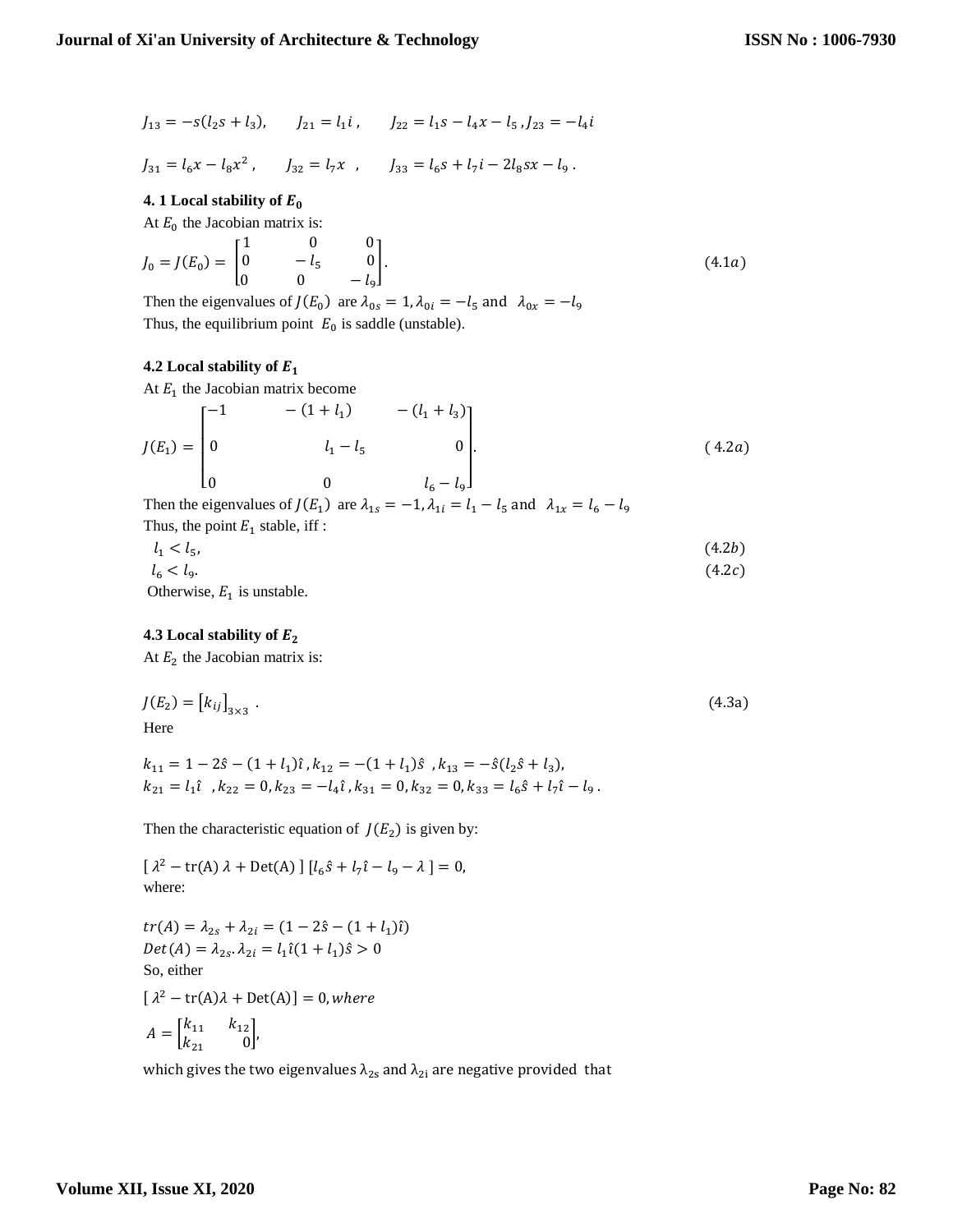$$
J_{13} = -s(l_2s + l_3),
$$
  $J_{21} = l_1i$ ,  $J_{22} = l_1s - l_4x - l_5$ ,  $J_{23} = -l_4i$ 

$$
J_{31} = l_6 x - l_8 x^2, \qquad J_{32} = l_7 x \quad , \qquad J_{33} = l_6 s + l_7 i - 2 l_8 s x - l_9
$$

# **4.** 1 Local stability of  $E_0$

At  $E_0$  the Jacobian matrix is:

$$
J_0 = J(E_0) = \begin{bmatrix} 1 & 0 & 0 \\ 0 & -l_5 & 0 \\ 0 & 0 & -l_9 \end{bmatrix}.
$$
 (4.1*a*)

.

Then the eigenvalues of  $J(E_0)$  are  $\lambda_{0s} = 1$ ,  $\lambda_{0i} = -l_5$  and  $\lambda_{0x} = -l_9$ Thus, the equilibrium point  $E_0$  is saddle (unstable).

# **4.2 Local stability of**

At  $E_1$  the Jacobian matrix become

$$
J(E_1) = \begin{bmatrix} -1 & - (1 + l_1) & - (l_1 + l_3) \\ 0 & l_1 - l_5 & 0 \\ 0 & 0 & l_6 - l_9 \end{bmatrix}.
$$
 (4.2*a*)

Then the eigenvalues of  $J(E_1)$  are  $\lambda_{1s} = -1$ ,  $\lambda_{1i} = l_1 - l_5$  and  $\lambda_{1x} = l_6 - l_9$ Thus, the point  $E_1$  stable, iff:

$$
l_1 < l_5,\tag{4.2b}
$$
\n
$$
l_6 < l_9.\tag{4.2c}
$$

Otherwise,  $E_1$  is unstable.

# **4.3 Local stability of**

At  $E_2$  the Jacobian matrix is:

$$
J(E_2) = [k_{ij}]_{3 \times 3} . \tag{4.3a}
$$
  
Here

$$
\begin{aligned} k_{11} &= 1 - 2\hat{s} - (1 + l_1)\hat{\imath} \,, k_{12} = -(1 + l_1)\hat{s} \,\,, k_{13} = -\hat{s}(l_2\hat{s} + l_3), \\ k_{21} &= l_1\hat{\imath} \ \ , k_{22} = 0, k_{23} = -l_4\hat{\imath} \,, k_{31} = 0, k_{32} = 0, k_{33} = l_6\hat{s} + l_7\hat{\imath} - l_9 \,. \end{aligned}
$$

Then the characteristic equation of  $J(E_2)$  is given by:

 $[\lambda^2 - \text{tr}(A) \lambda + \text{Det}(A)] [\ell_6 \hat{s} + \ell_7 \hat{\iota} - \ell_9 - \lambda] = 0,$ where:

 $tr(A) = \lambda_{2s} + \lambda_{2i} = (1 - 2\hat{s} - (1 + l_1)\hat{i})$  $Det(A) = \lambda_{2s} \cdot \lambda_{2i} = l_1 \hat{\imath} (1 + l_1) \hat{s} > 0$ So, either  $[\lambda^2 - tr(A)\lambda + Det(A)] = 0$ , where  $A = \begin{bmatrix} k_{11} & k_{12} \\ k_1 & 0 \end{bmatrix}$  $\begin{bmatrix} 1 & 1 & 1 \\ k_{21} & 0 \end{bmatrix}$ 

which gives the two eigenvalues  $\lambda_{2s}$  and  $\lambda_{2i}$  are negative provided that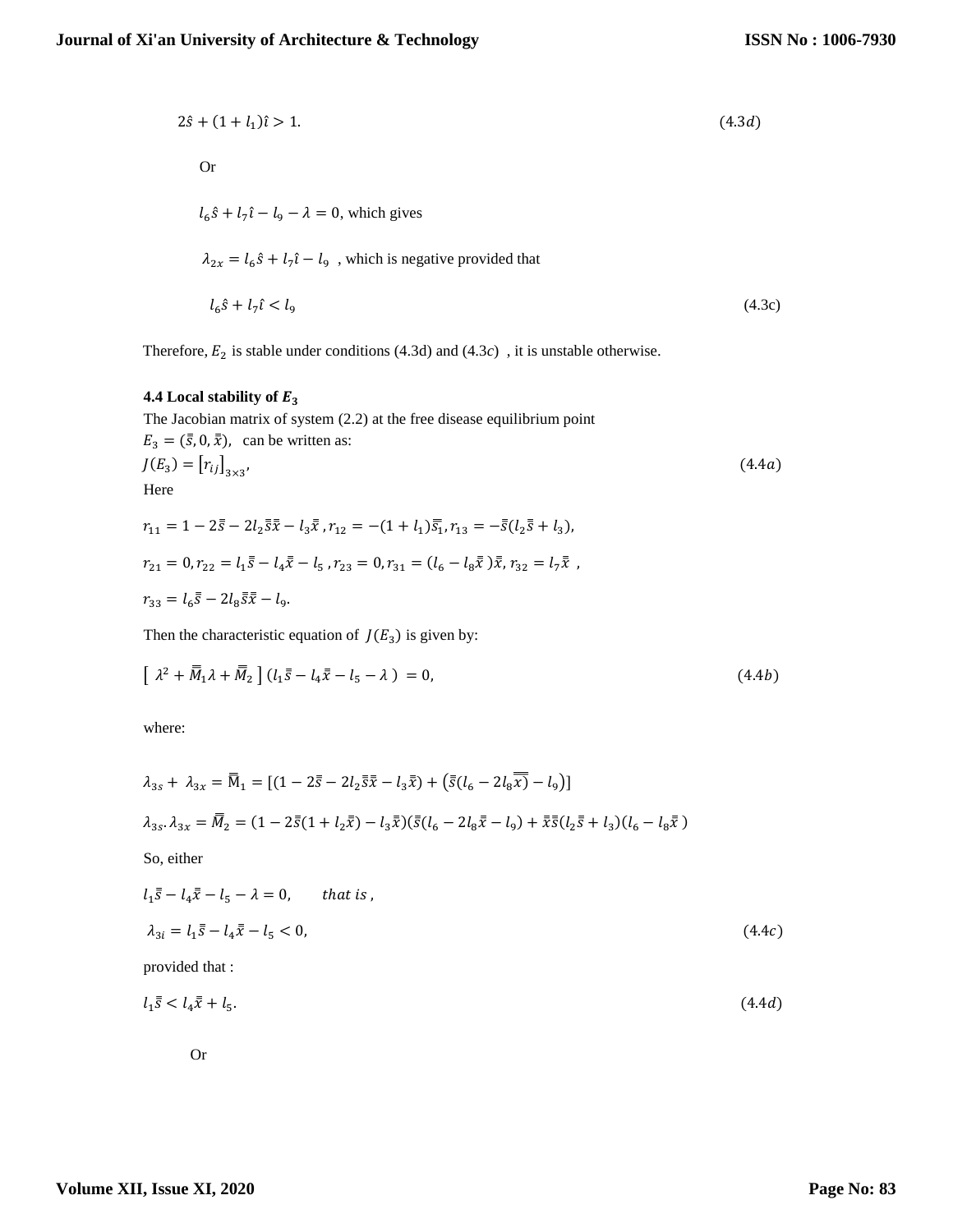$$
2\hat{s} + (1 + l_1)\hat{i} > 1.
$$
\nOr

\n
$$
l_6\hat{s} + l_7\hat{i} - l_9 - \lambda = 0
$$
\nwhich gives

\n
$$
\lambda_{2x} = l_6\hat{s} + l_7\hat{i} - l_9
$$
\n, which is negative provided that

\n
$$
l_6\hat{s} + l_7\hat{i} < l_9
$$
\n(4.3c)

Therefore,  $E_2$  is stable under conditions (4.3d) and (4.3c), it is unstable otherwise.

# **4.4 Local stability of**

The Jacobian matrix of system (2.2) at the free disease equilibrium point  $E_3 = (\bar{s}, 0, \bar{x})$ , can be written as:  $J(E_3) = [r_{ij}]_{3 \times 3}$ ,  $(4.4a)$ Here

$$
r_{11} = 1 - 2\overline{s} - 2l_2 \overline{s} \overline{x} - l_3 \overline{x}, r_{12} = -(1 + l_1) \overline{s_1}, r_{13} = -\overline{s}(l_2 \overline{s} + l_3),
$$
  
\n
$$
r_{21} = 0, r_{22} = l_1 \overline{s} - l_4 \overline{x} - l_5, r_{23} = 0, r_{31} = (l_6 - l_8 \overline{x}) \overline{x}, r_{32} = l_7 \overline{x},
$$
  
\n
$$
r_{33} = l_6 \overline{s} - 2l_8 \overline{s} \overline{x} - l_9.
$$

Then the characteristic equation of  $J(E_3)$  is given by:

$$
\left[\ \lambda^2 + \overline{M}_1 \lambda + \overline{M}_2 \right] (l_1 \overline{s} - l_4 \overline{x} - l_5 - \lambda) = 0, \tag{4.4b}
$$

where:

$$
\lambda_{3s} + \lambda_{3x} = \overline{M}_1 = [(1 - 2\overline{s} - 2l_2 \overline{s}\overline{x} - l_3 \overline{x}) + (\overline{s}(l_6 - 2l_8 \overline{x}) - l_9)]
$$
  
\n
$$
\lambda_{3s} \cdot \lambda_{3x} = \overline{M}_2 = (1 - 2\overline{s}(1 + l_2 \overline{x}) - l_3 \overline{x})(\overline{s}(l_6 - 2l_8 \overline{x} - l_9) + \overline{x}\overline{s}(l_2 \overline{s} + l_3)(l_6 - l_8 \overline{x})
$$
  
\nSo, either  
\n
$$
l_1 \overline{s} - l_4 \overline{x} - l_5 - \lambda = 0, \quad that \text{ is } ,
$$

$$
\lambda_{3i} = l_1 \bar{s} - l_4 \bar{x} - l_5 < 0,\tag{4.4c}
$$

provided that :

$$
l_1\bar{s} < l_4\bar{x} + l_5. \tag{4.4d}
$$

Or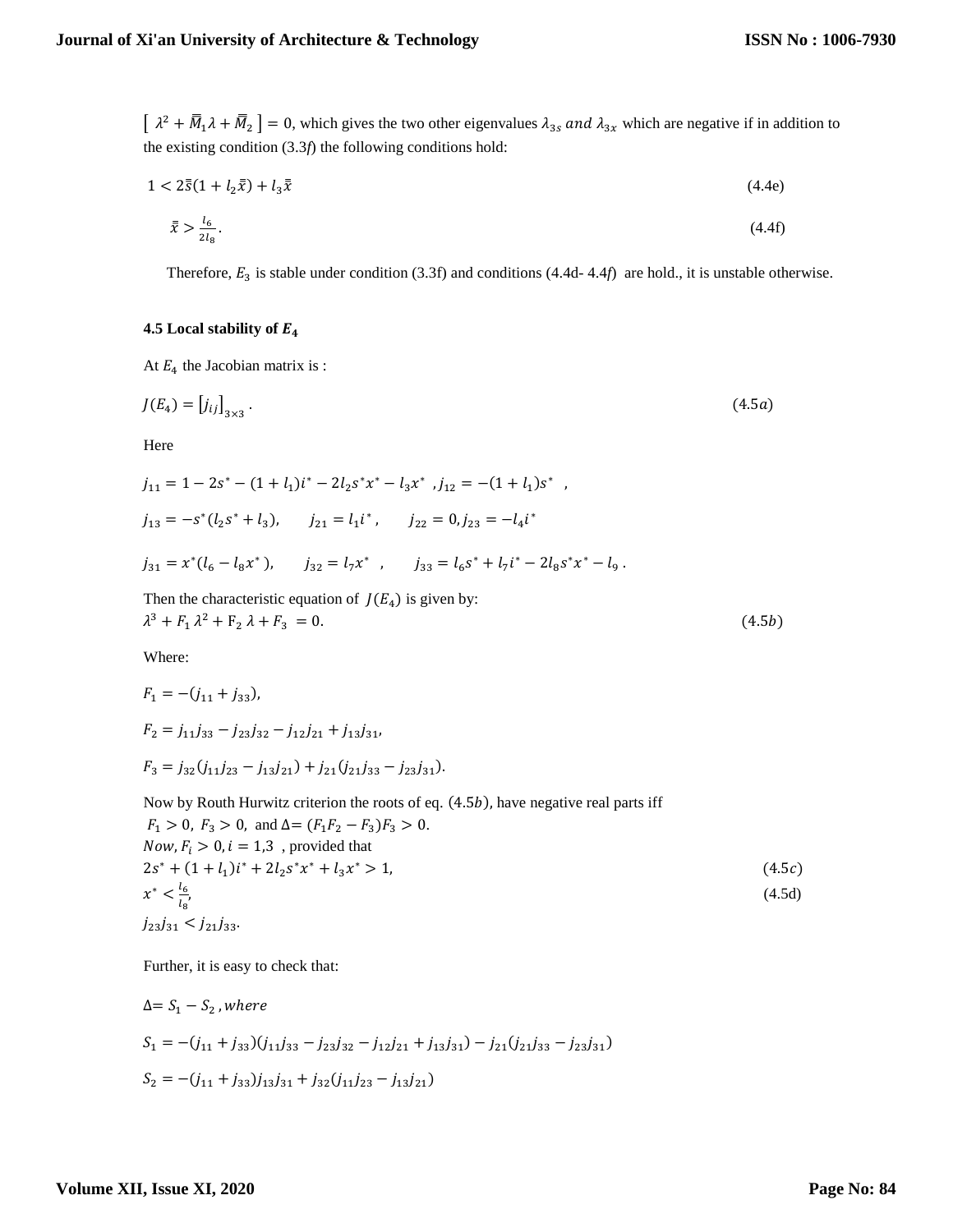$\left[\lambda^2+\overline{M}_1\lambda+\overline{M}_2\right]=0$ , which gives the two other eigenvalues  $\lambda_{3s}$  and  $\lambda_{3x}$  which are negative if in addition to the existing condition (3.3*f*) the following conditions hold:

$$
1 < 2\bar{5}(1 + l_2\bar{x}) + l_3\bar{x} \tag{4.4e}
$$

$$
\bar{x} > \frac{l_6}{2l_8} \,. \tag{4.4f}
$$

Therefore,  $E_3$  is stable under condition (3.3f) and conditions (4.4d- 4.4*f*) are hold., it is unstable otherwise.

# **4.5 Local stability of**

At  $E_4$  the Jacobian matrix is :

$$
J(E_4) = [j_{ij}]_{3 \times 3} \tag{4.5a}
$$

Here

$$
j_{11} = 1 - 2s^* - (1 + l_1)i^* - 2l_2s^*x^* - l_3x^*, j_{12} = -(1 + l_1)s^* ,
$$
  
\n
$$
j_{13} = -s^*(l_2s^* + l_3), \qquad j_{21} = l_1i^*, \qquad j_{22} = 0, j_{23} = -l_4i^*
$$
  
\n
$$
j_{31} = x^*(l_6 - l_8x^*), \qquad j_{32} = l_7x^* , \qquad j_{33} = l_6s^* + l_7i^* - 2l_8s^*x^* - l_9 .
$$

Then the characteristic equation of  $J(E_4)$  is given by:  $\lambda^3 + F_1 \lambda^2 + F_2 \lambda + F_3 = 0.$  (4.5b)

Where:

$$
F_1 = -(j_{11} + j_{33}),
$$
  
\n
$$
F_2 = j_{11}j_{33} - j_{23}j_{32} - j_{12}j_{21} + j_{13}j_{31},
$$
  
\n
$$
F_3 = j_{32}(j_{11}j_{23} - j_{13}j_{21}) + j_{21}(j_{21}j_{33} - j_{23}j_{31}).
$$

Now by Routh Hurwitz criterion the roots of eq.  $(4.5b)$ , have negative real parts iff <sup>1</sup> > 0, <sup>3</sup> > 0, and ∆= (1<sup>2</sup> −3)<sup>3</sup> > 0.

$$
F_1 > 0, F_3 > 0, \text{ and } \Delta = (F_1 F_2 - F_3) F_3 > 0.
$$
  
\nNow,  $F_i > 0$ ,  $i = 1, 3$ , provided that  
\n
$$
2s^* + (1 + l_1)i^* + 2l_2s^*x^* + l_3x^* > 1,
$$
  
\n
$$
x^* < \frac{l_6}{l_8},
$$
  
\n $j_{23}j_{31} < j_{21}j_{33}.$ \n(4.5d)

Further, it is easy to check that:

$$
\Delta = S_1 - S_2, where
$$
  
\n
$$
S_1 = -(j_{11} + j_{33})(j_{11}j_{33} - j_{23}j_{32} - j_{12}j_{21} + j_{13}j_{31}) - j_{21}(j_{21}j_{33} - j_{23}j_{31})
$$
  
\n
$$
S_2 = -(j_{11} + j_{33})j_{13}j_{31} + j_{32}(j_{11}j_{23} - j_{13}j_{21})
$$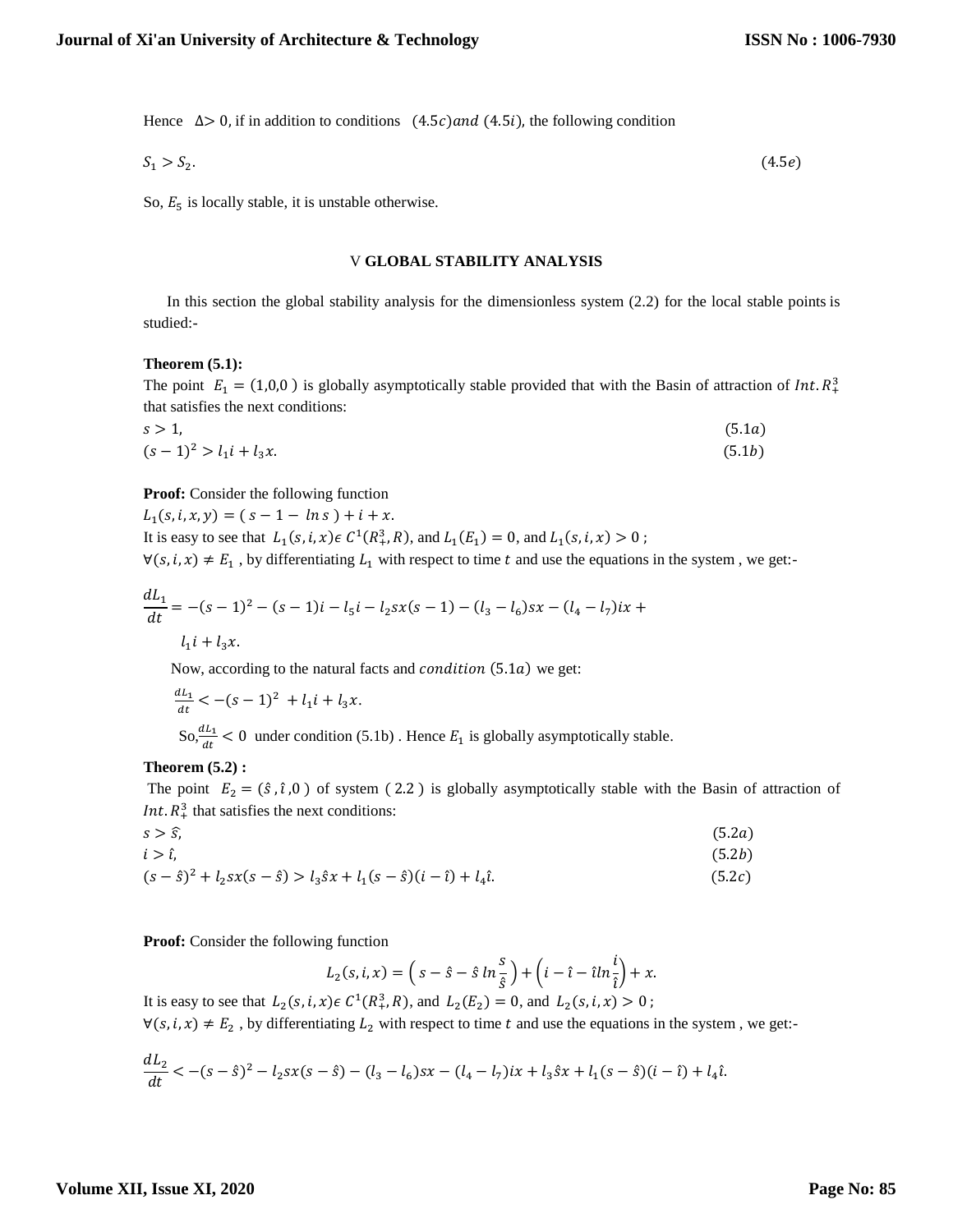Hence  $\Delta > 0$ , if in addition to conditions  $(4.5c)$  and  $(4.5i)$ , the following condition

$$
S_1 > S_2. \tag{4.5e}
$$

So,  $E_5$  is locally stable, it is unstable otherwise.

#### V **GLOBAL STABILITY ANALYSIS**

 In this section the global stability analysis for the dimensionless system (2.2) for the local stable points is studied:-

#### **Theorem (5.1):**

The point  $E_1 = (1,0,0)$  is globally asymptotically stable provided that with the Basin of attraction of Int.  $R_+^3$ that satisfies the next conditions:

$$
s > 1,
$$
  
\n
$$
(s-1)^2 > l_1 i + l_3 x.
$$
  
\n(5.1*a*)  
\n(5.1*a*)

**Proof:** Consider the following function

 $L_1(s, i, x, y) = (s - 1 - ln s) + i + x.$ It is easy to see that  $L_1(s, i, x) \in C^1(R_+^3, R)$ , and  $L_1(E_1) = 0$ , and  $L_1(s, i, x) > 0$ ;

 $\forall (s, i, x) \neq E_1$ , by differentiating  $L_1$  with respect to time t and use the equations in the system, we get:-

$$
\frac{dL_1}{dt} = -(s-1)^2 - (s-1)i - l_5i - l_2sx(s-1) - (l_3 - l_6)sx - (l_4 - l_7)ix + l_1i + l_3x.
$$

Now, according to the natural facts and *condition*  $(5.1a)$  we get:

$$
\frac{dL_1}{dt} < -(s-1)^2 + l_1 i + l_3 x.
$$
\n
$$
\text{So,} \frac{dL_1}{dt} < 0 \text{ under condition (5.1b). Hence } E_1 \text{ is globally asymptotically stable.}
$$

#### **Theorem (5.2) :**

The point  $E_2 = (\hat{s}, \hat{t}, 0)$  of system (2.2) is globally asymptotically stable with the Basin of attraction of *Int.*  $R_+^3$  that satisfies the next conditions:

$$
s > \hat{s},
$$
  
\n
$$
i > \hat{t},
$$
  
\n
$$
(5.2a)
$$
  
\n
$$
(s - \hat{s})^2 + l_2 sx(s - \hat{s}) > l_3 \hat{s} x + l_1 (s - \hat{s}) (i - \hat{\iota}) + l_4 \hat{\iota}.
$$
  
\n(5.2b)  
\n(5.2c)

**Proof:** Consider the following function

$$
L_2(s,i,x) = \left(s - \hat{s} - \hat{s} \ln \frac{s}{\hat{s}}\right) + \left(i - \hat{\iota} - \hat{\iota} \ln \frac{i}{\hat{\iota}}\right) + x.
$$

It is easy to see that  $L_2(s, i, x) \in C^1(R_+^3, R)$ , and  $L_2(E_2) = 0$ , and  $L_2(s, i, x) > 0$ ;

 $\forall (s, i, x) \neq E_2$ , by differentiating  $L_2$  with respect to time t and use the equations in the system, we get:-

$$
\frac{dL_2}{dt} < -(s-\hat{s})^2 - l_2sx(s-\hat{s}) - (l_3-l_6)sx - (l_4-l_7)ix + l_3\hat{s}x + l_1(s-\hat{s})(i-\hat{t}) + l_4\hat{t}.
$$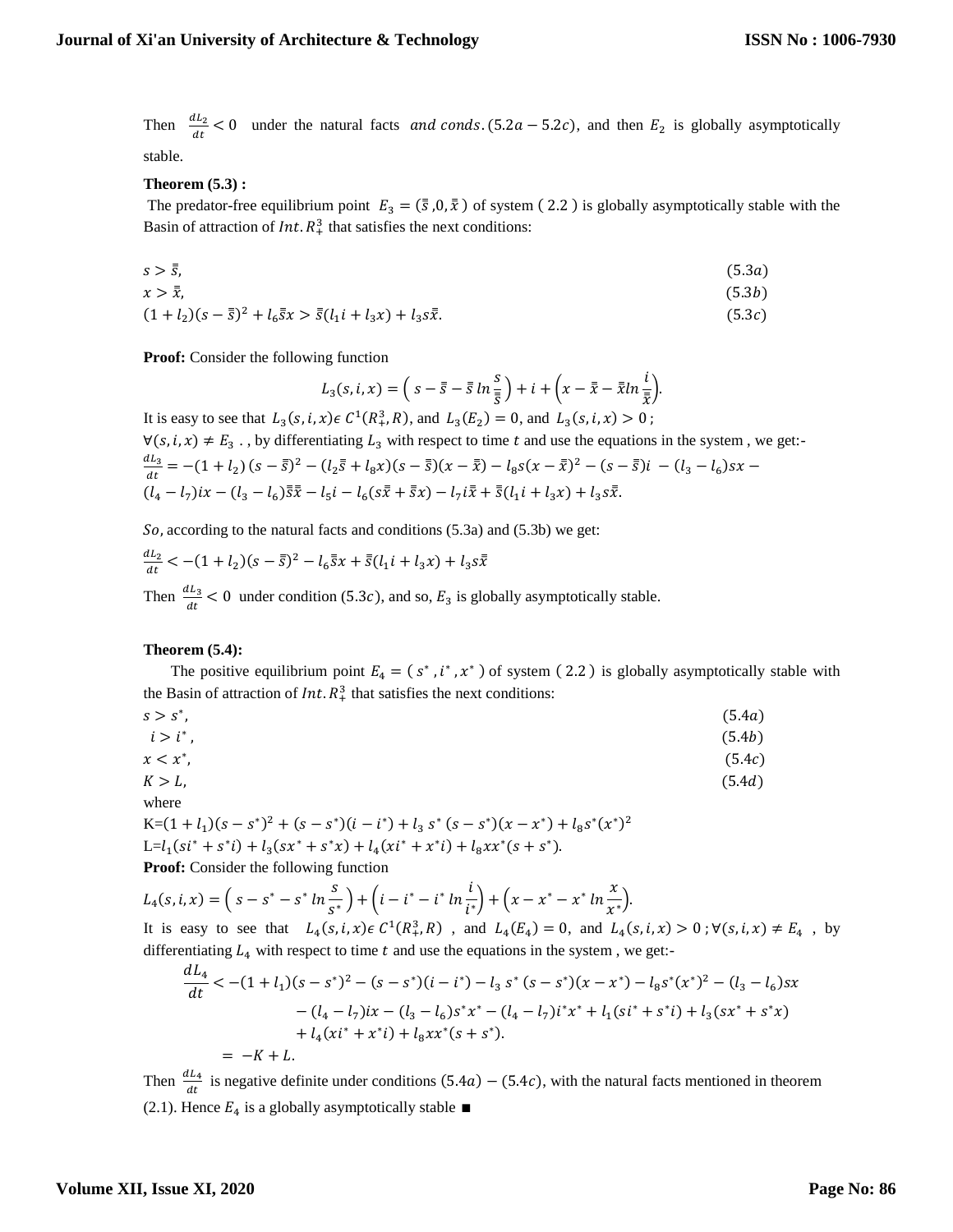Then  $\frac{dL_2}{dt} < 0$  under the natural facts and conds. (5.2a – 5.2c), and then  $E_2$  is globally asymptotically stable.

# **Theorem (5.3) :**

The predator-free equilibrium point  $E_3 = (\bar{s}, 0, \bar{x})$  of system (2.2) is globally asymptotically stable with the Basin of attraction of  $Int. R<sup>3</sup>$ , that satisfies the next conditions:

$$
s > \bar{\bar{s}},\tag{5.3a}
$$

$$
x > \bar{x},\tag{5.3b}
$$

$$
(1 + l_2)(s - \bar{s})^2 + l_6 \bar{s}x > \bar{s}(l_1 i + l_3 x) + l_3 s\bar{x}.
$$
\n(5.3*c*)

**Proof:** Consider the following function

$$
L_3(s,i,x) = \left(s - \overline{s} - \overline{s} \ln \frac{s}{\overline{s}}\right) + i + \left(x - \overline{x} - \overline{x} \ln \frac{i}{\overline{x}}\right).
$$

It is easy to see that  $L_3(s, i, x) \in C^1(R_+^3, R)$ , and  $L_3(E_2) = 0$ , and  $L_3(s, i, x) > 0$ ;

 $\forall (s, i, x) \neq E_3$ ., by differentiating  $L_3$  with respect to time t and use the equations in the system, we get:-

$$
\frac{dL_3}{dt} = -(1+l_2)(s-\bar{s})^2 - (l_2\bar{s} + l_8x)(s-\bar{s})(x-\bar{x}) - l_8s(x-\bar{x})^2 - (s-\bar{s})i - (l_3-l_6)sx - (l_4-l_7)ix - (l_3-l_6)\bar{s}\bar{x} - l_5i - l_6(s\bar{x}+\bar{s}x) - l_7i\bar{x}+\bar{s}(l_1i+l_3x) + l_3s\bar{x}.
$$

So, according to the natural facts and conditions  $(5.3a)$  and  $(5.3b)$  we get:

$$
\frac{dL_2}{dt} < -(1+l_2)(s-\bar{\bar{s}})^2 - l_6\bar{\bar{s}}x + \bar{\bar{s}}(l_1i + l_3x) + l_3s\bar{\bar{x}}
$$

Then  $\frac{dL_3}{dt}$  < 0 under condition (5.3*c*), and so,  $E_3$  is globally asymptotically stable.

# **Theorem (5.4):**

The positive equilibrium point  $E_4 = (s^*, i^*, x^*)$  of system (2.2) is globally asymptotically stable with the Basin of attraction of  $Int. R_+^3$  that satisfies the next conditions:

| $s > s^*$ , | (5.4a) |
|-------------|--------|
| $i > i^*$ , | (5.4b) |
| $x < x^*$ , | (5.4c) |
| $K>L$ ,     | (5.4d) |
| where       |        |

where

K= $(1 + l_1)(s - s^*)^2 + (s - s^*)(i - i^*) + l_3 s^* (s - s^*)(x - x^*) + l_8 s^* (x^*)^2$ L= $l_1(s i^* + s^* i) + l_3(s x^* + s^* x) + l_4(x i^* + x^* i) + l_8 x x^* (s + s^*).$ **Proof:** Consider the following function

 $L_4(s, i, x) = \left(s - s^* - s^* \ln \frac{s}{s^*}\right)$  $\frac{s}{s^*}\bigg) + \bigg(i - i^* - i^* \ln \frac{i}{i^*}\bigg)$  $\frac{i}{i^*}$  +  $\left(x - x^* - x^* \ln \frac{x}{x^*}\right)$  $\frac{1}{x^*}$ .

It is easy to see that  $L_4(s, i, x) \in C^1(R_+^3, R)$ , and  $L_4(E_4) = 0$ , and  $L_4(s, i, x) > 0$ ;  $\forall (s, i, x) \neq E_4$ , by differentiating  $L_4$  with respect to time  $t$  and use the equations in the system, we get:-

$$
\frac{dL_4}{dt} < -(1+l_1)(s-s^*)^2 - (s-s^*)(i-i^*) - l_3 s^* (s-s^*)(x-x^*) - l_8 s^* (x^*)^2 - (l_3-l_6)sx
$$
\n
$$
- (l_4-l_7)ix - (l_3-l_6)s^* x^* - (l_4-l_7)i^* x^* + l_1 (si^* + s^* i) + l_3 (sx^* + s^* x)
$$
\n
$$
+ l_4 (xi^* + x^* i) + l_8 xx^* (s+s^*).
$$
\n
$$
= -K + L.
$$

Then  $\frac{dL_4}{dt}$  is negative definite under conditions (5.4*a*) – (5.4*c*), with the natural facts mentioned in theorem (2.1). Hence  $E_4$  is a globally asymptotically stable ■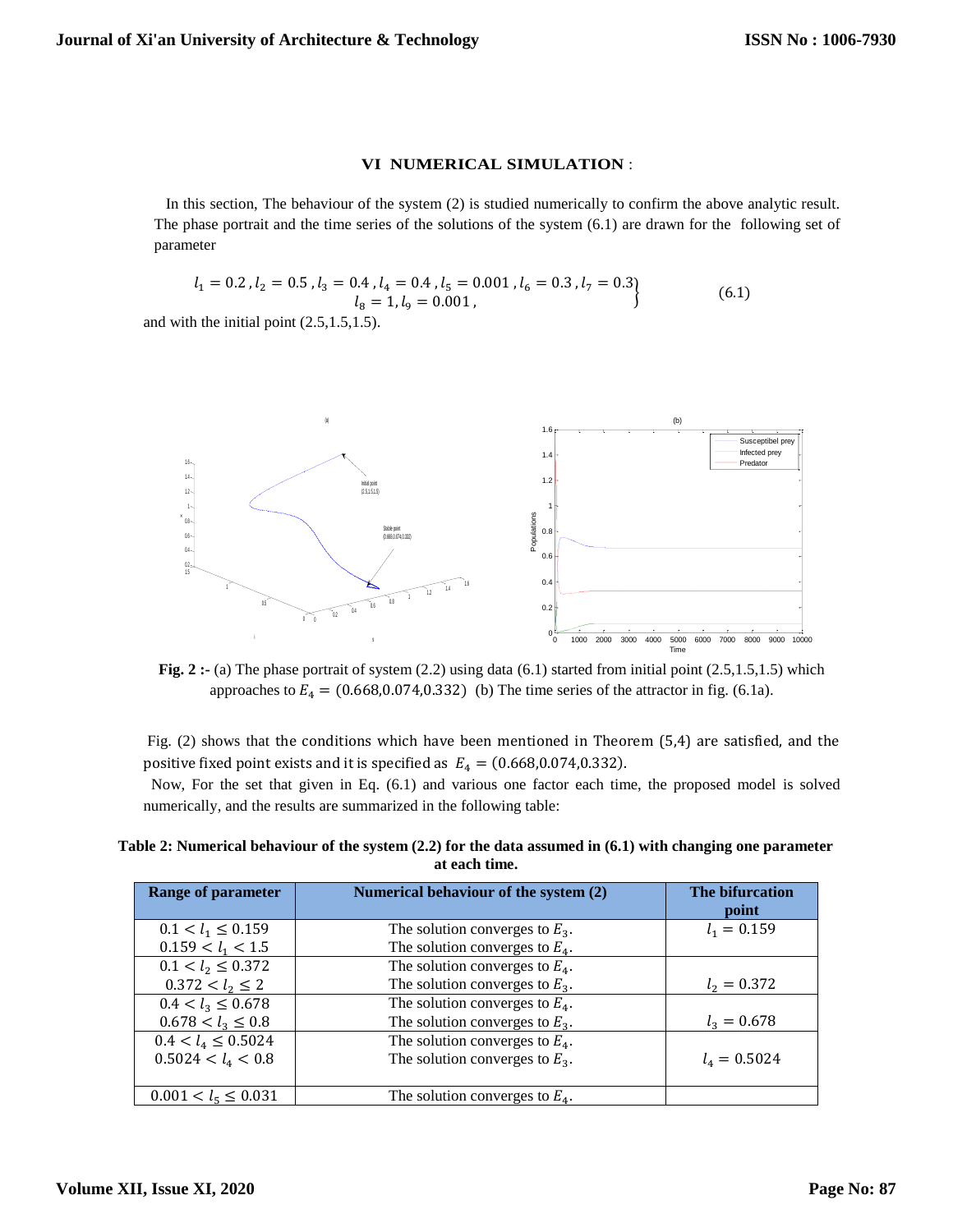#### **VI NUMERICAL SIMULATION** :

 In this section, The behaviour of the system (2) is studied numerically to confirm the above analytic result. The phase portrait and the time series of the solutions of the system (6.1) are drawn for the following set of parameter

$$
l_1 = 0.2, l_2 = 0.5, l_3 = 0.4, l_4 = 0.4, l_5 = 0.001, l_6 = 0.3, l_7 = 0.3
$$
  

$$
l_8 = 1, l_9 = 0.001,
$$
 (6.1)

and with the initial point (2.5,1.5,1.5).



**Fig.** 2 :- (a) The phase portrait of system (2.2) using data (6.1) started from initial point (2.5,1.5,1.5) which approaches to  $E_4 = (0.668, 0.074, 0.332)$  (b) The time series of the attractor in fig. (6.1a).

Fig. (2) shows that the conditions which have been mentioned in Theorem (5,4) are satisfied, and the positive fixed point exists and it is specified as  $E_4 = (0.668, 0.074, 0.332)$ .

 Now, For the set that given in Eq. (6.1) and various one factor each time, the proposed model is solved numerically, and the results are summarized in the following table:

**Table 2: Numerical behaviour of the system (2.2) for the data assumed in (6.1) with changing one parameter at each time.**

| <b>Range of parameter</b> | Numerical behaviour of the system (2) | The bifurcation<br>point |
|---------------------------|---------------------------------------|--------------------------|
| $0.1 < l_1 \leq 0.159$    | The solution converges to $E_3$ .     | $l_1 = 0.159$            |
| $0.159 < l_1 < 1.5$       | The solution converges to $E_4$ .     |                          |
| $0.1 < l_2 \leq 0.372$    | The solution converges to $E_4$ .     |                          |
| $0.372 < l_2 \leq 2$      | The solution converges to $E_3$ .     | $l_2 = 0.372$            |
| $0.4 < l_3 \leq 0.678$    | The solution converges to $E_4$ .     |                          |
| $0.678 < l_3 \leq 0.8$    | The solution converges to $E_3$ .     | $l_3 = 0.678$            |
| $0.4 < l_4 \leq 0.5024$   | The solution converges to $E_4$ .     |                          |
| $0.5024 < l_4 < 0.8$      | The solution converges to $E_3$ .     | $l_4 = 0.5024$           |
|                           |                                       |                          |
| $0.001 < l_5 \leq 0.031$  | The solution converges to $E_4$ .     |                          |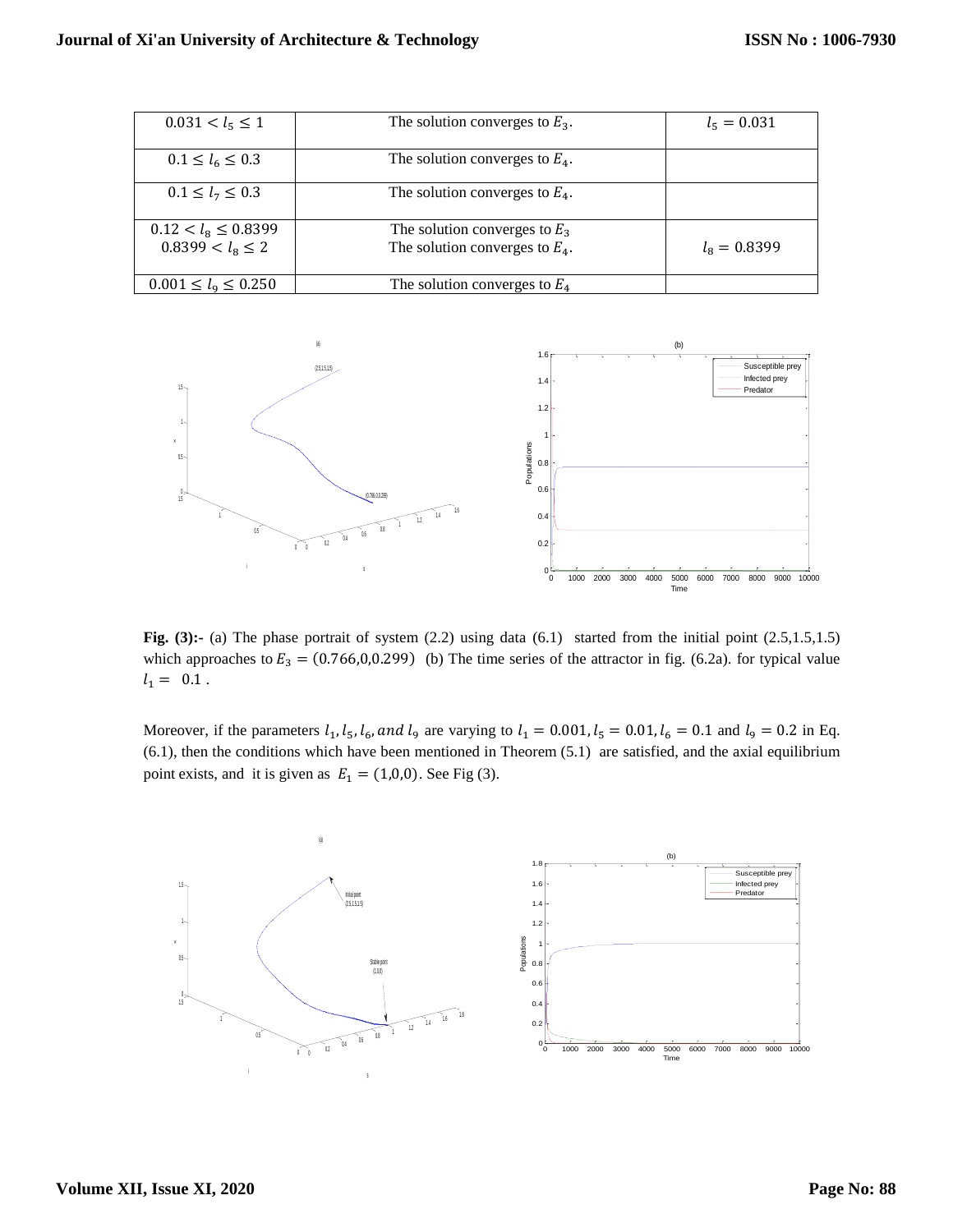| $0.031 < l_5 \leq 1$                                    | The solution converges to $E_3$ .                                    | $l_5 = 0.031$        |
|---------------------------------------------------------|----------------------------------------------------------------------|----------------------|
| $0.1 \le l_6 \le 0.3$                                   | The solution converges to $E_4$ .                                    |                      |
| $0.1 \le l_7 \le 0.3$                                   | The solution converges to $E_4$ .                                    |                      |
| $0.12 < l_{\rm s} \leq 0.8399$<br>$0.8399 < l_8 \leq 2$ | The solution converges to $E_3$<br>The solution converges to $E_4$ . | $l_{\rm s} = 0.8399$ |
| $0.001 \le l_9 \le 0.250$                               | The solution converges to $E_4$                                      |                      |



**Fig. (3):-** (a) The phase portrait of system (2.2) using data (6.1) started from the initial point (2.5,1.5,1.5) which approaches to  $E_3 = (0.766, 0.0299)$  (b) The time series of the attractor in fig. (6.2a). for typical value  $l_1 = 0.1$ .

Moreover, if the parameters  $l_1$ ,  $l_5$ ,  $l_6$ , and  $l_9$  are varying to  $l_1 = 0.001$ ,  $l_5 = 0.01$ ,  $l_6 = 0.1$  and  $l_9 = 0.2$  in Eq. (6.1), then the conditions which have been mentioned in Theorem (5.1) are satisfied, and the axial equilibrium point exists, and it is given as  $E_1 = (1,0,0)$ . See Fig (3).

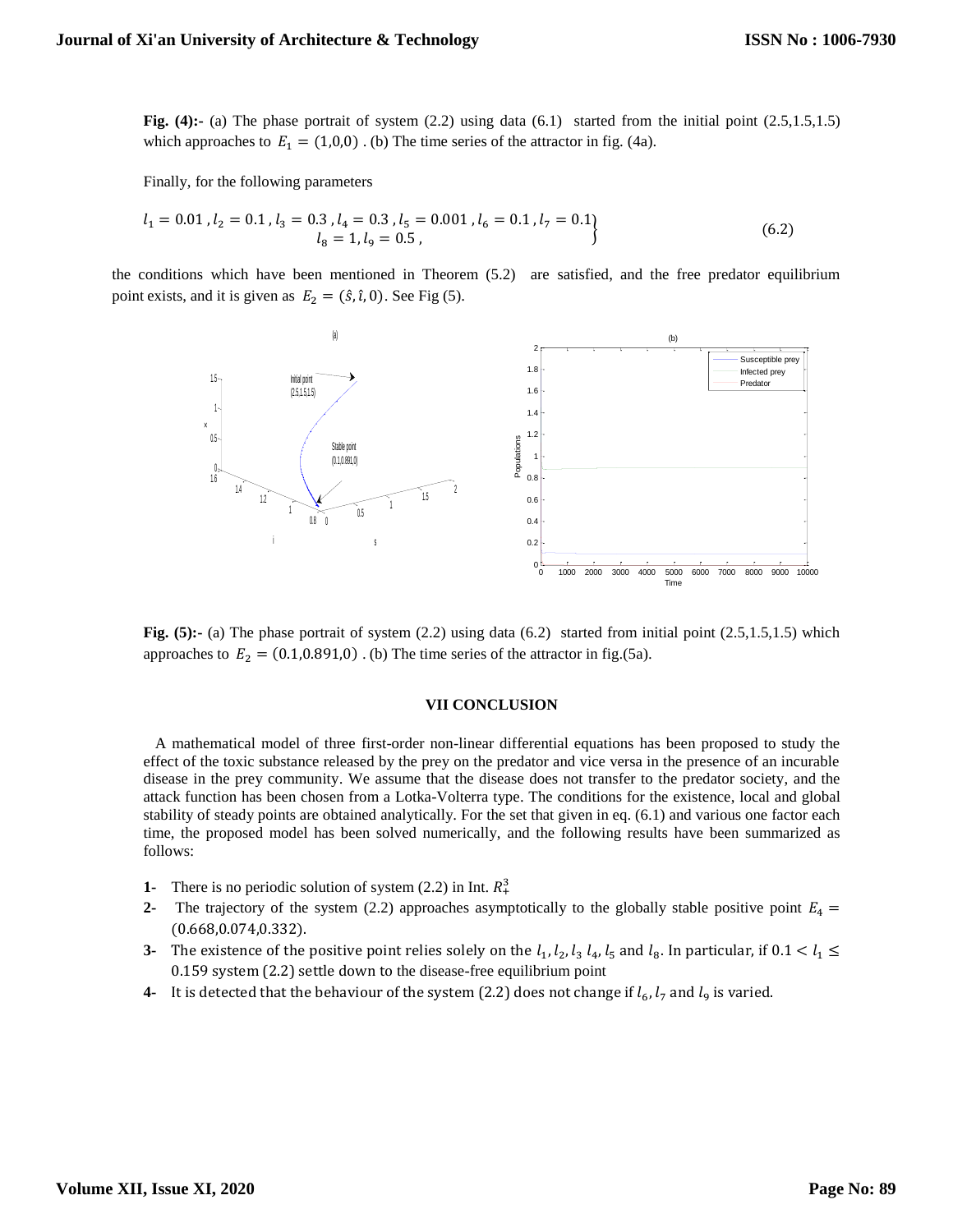**Fig.** (4):- (a) The phase portrait of system (2.2) using data (6.1) started from the initial point (2.5,1.5,1.5) which approaches to  $E_1 = (1,0,0)$ . (b) The time series of the attractor in fig. (4a).

Finally, for the following parameters

$$
l_1 = 0.01, l_2 = 0.1, l_3 = 0.3, l_4 = 0.3, l_5 = 0.001, l_6 = 0.1, l_7 = 0.1
$$
  

$$
l_8 = 1, l_9 = 0.5,
$$
 (6.2)

the conditions which have been mentioned in Theorem (5.2) are satisfied, and the free predator equilibrium point exists, and it is given as  $E_2 = (\hat{s}, \hat{\iota}, 0)$ . See Fig (5).



**Fig.** (5):- (a) The phase portrait of system (2.2) using data (6.2) started from initial point (2.5,1.5,1.5) which approaches to  $E_2 = (0.1, 0.891, 0)$ . (b) The time series of the attractor in fig.(5a).

#### **VII CONCLUSION**

 A mathematical model of three first-order non-linear differential equations has been proposed to study the effect of the toxic substance released by the prey on the predator and vice versa in the presence of an incurable disease in the prey community. We assume that the disease does not transfer to the predator society, and the attack function has been chosen from a Lotka-Volterra type. The conditions for the existence, local and global stability of steady points are obtained analytically. For the set that given in eq. (6.1) and various one factor each time, the proposed model has been solved numerically, and the following results have been summarized as follows:

- **1-** There is no periodic solution of system  $(2.2)$  in Int.  $R_+^3$
- **2-** The trajectory of the system (2.2) approaches asymptotically to the globally stable positive point  $E_4$  = (0.668,0.074,0.332).
- **3-** The existence of the positive point relies solely on the  $l_1$ ,  $l_2$ ,  $l_3$ ,  $l_4$ ,  $l_5$  and  $l_8$ . In particular, if  $0.1 < l_1 \leq$ 0.159 system (2.2) settle down to the disease-free equilibrium point
- **4-** It is detected that the behaviour of the system (2.2) does not change if  $l_6$ ,  $l_7$  and  $l_9$  is varied.